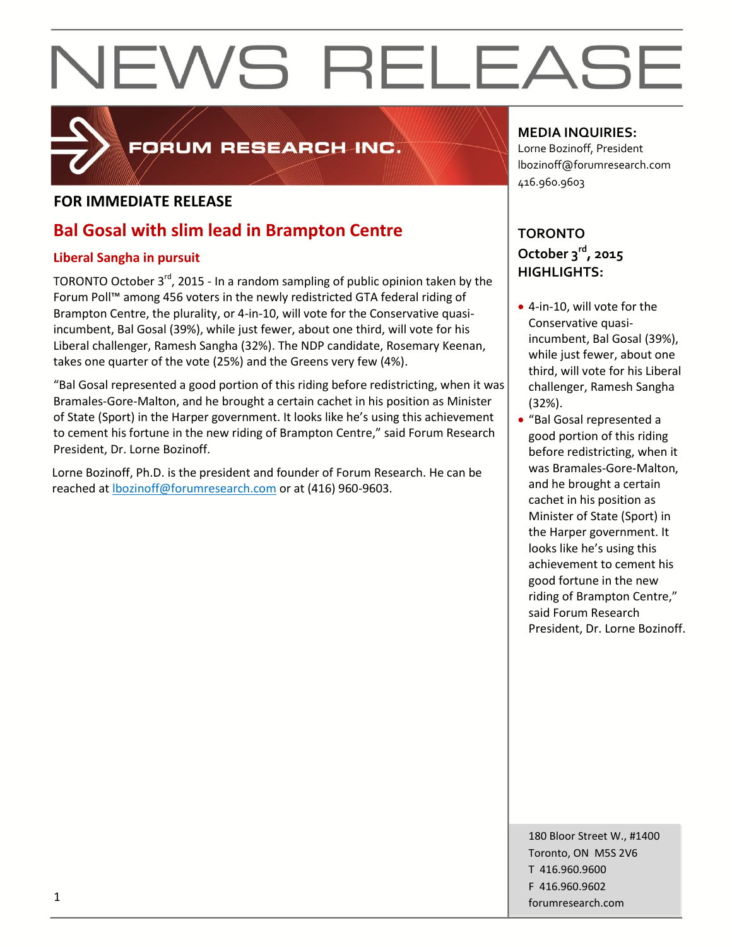

## FORUM RESEARCH INC.

### **FOR IMMEDIATE RELEASE**

## **Bal Gosal with slim lead in Brampton Centre**

### **Liberal Sangha in pursuit**

TORONTO October 3<sup>rd</sup>, 2015 - In a random sampling of public opinion taken by the Forum Poll™ among 456 voters in the newly redistricted GTA federal riding of Brampton Centre, the plurality, or 4-in-10, will vote for the Conservative quasiincumbent, Bal Gosal (39%), while just fewer, about one third, will vote for his Liberal challenger, Ramesh Sangha (32%). The NDP candidate, Rosemary Keenan, takes one quarter of the vote (25%) and the Greens very few (4%).

"Bal Gosal represented a good portion of this riding before redistricting, when it was Bramales-Gore-Malton, and he brought a certain cachet in his position as Minister of State (Sport) in the Harper government. It looks like he's using this achievement to cement his fortune in the new riding of Brampton Centre," said Forum Research President, Dr. Lorne Bozinoff.

Lorne Bozinoff, Ph.D. is the president and founder of Forum Research. He can be reached at [lbozinoff@forumresearch.com](mailto:lbozinoff@forumresearch.com) or at (416) 960-9603.

### **MEDIA INQUIRIES:**

Lorne Bozinoff, President lbozinoff@forumresearch.com 416.960.9603

### **TORONTO October 3rd, 2015 HIGHLIGHTS:**

- 4-in-10, will vote for the Conservative quasiincumbent, Bal Gosal (39%), while just fewer, about one third, will vote for his Liberal challenger, Ramesh Sangha (32%).
- "Bal Gosal represented a good portion of this riding before redistricting, when it was Bramales-Gore-Malton, and he brought a certain cachet in his position as Minister of State (Sport) in the Harper government. It looks like he's using this achievement to cement his good fortune in the new riding of Brampton Centre," said Forum Research President, Dr. Lorne Bozinoff.

180 Bloor Street W., #1400 Toronto, ON M5S 2V6 T 416.960.9600 F 416.960.9602 for the contract of the contract of the contract of the contract of the contract of the contract of the contract of the contract of the contract of the contract of the contract of the contract of the contract of the contra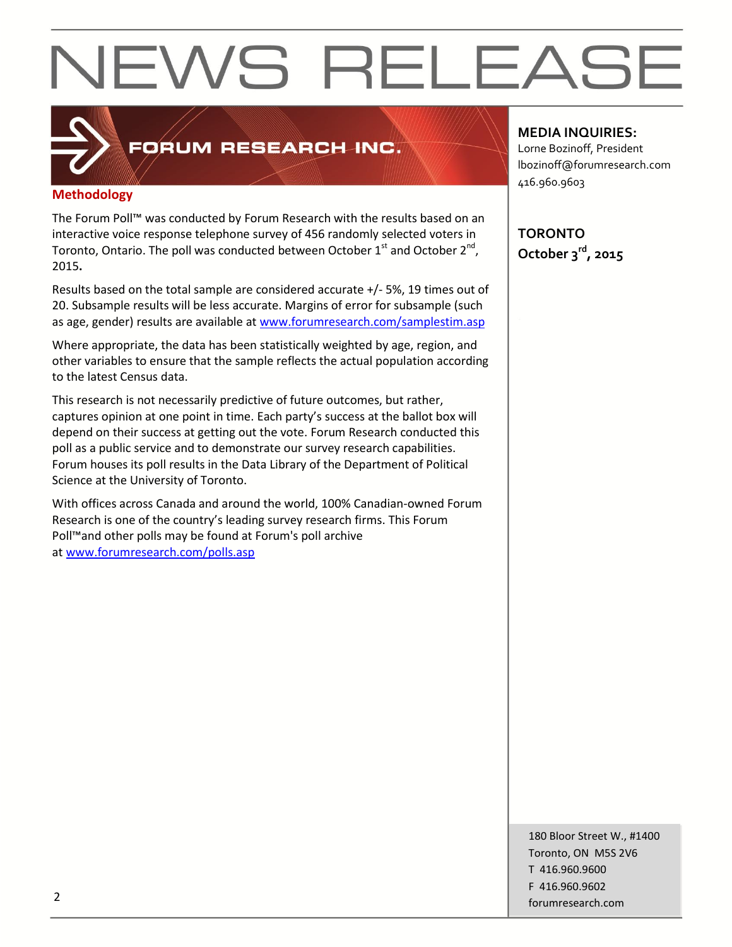## **Methodology**

The Forum Poll™ was conducted by Forum Research with the results based on an interactive voice response telephone survey of 456 randomly selected voters in Toronto, Ontario. The poll was conducted between October  $1^{st}$  and October  $2^{nd}$ , 2015**.**

FORUM RESEARCH INC.

Results based on the total sample are considered accurate +/- 5%, 19 times out of 20. Subsample results will be less accurate. Margins of error for subsample (such as age, gender) results are available at [www.forumresearch.com/samplestim.asp](http://www.forumresearch.com/samplestim.asp)

Where appropriate, the data has been statistically weighted by age, region, and other variables to ensure that the sample reflects the actual population according to the latest Census data.

This research is not necessarily predictive of future outcomes, but rather, captures opinion at one point in time. Each party's success at the ballot box will depend on their success at getting out the vote. Forum Research conducted this poll as a public service and to demonstrate our survey research capabilities. Forum houses its poll results in the Data Library of the Department of Political Science at the University of Toronto.

With offices across Canada and around the world, 100% Canadian-owned Forum Research is one of the country's leading survey research firms. This Forum Poll™and other polls may be found at Forum's poll archive at [www.forumresearch.com/polls.asp](http://www.forumresearch.com/polls.asp)

#### **MEDIA INQUIRIES:**

Lorne Bozinoff, President lbozinoff@forumresearch.com 416.960.9603

**TORONTO October 3rd, 2015**

180 Bloor Street W., #1400 Toronto, ON M5S 2V6 T 416.960.9600 F 416.960.9602 example to the contract of the contract of the contract of the contract of the contract of the contract of the contract of the contract of the contract of the contract of the contract of the contract of the contract of the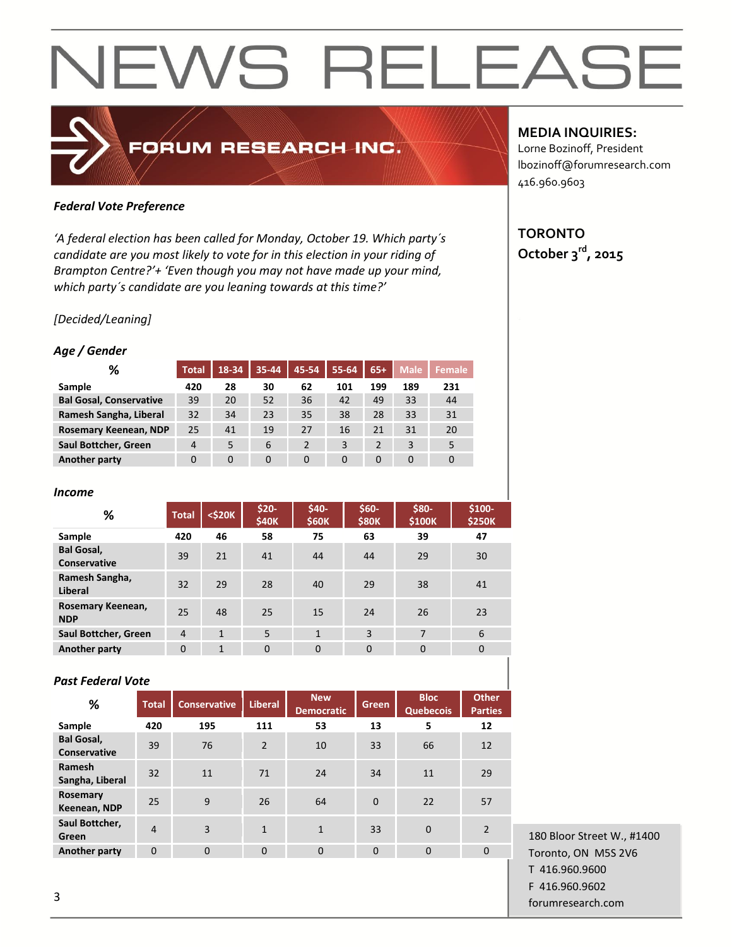### *Federal Vote Preference*

*'A federal election has been called for Monday, October 19. Which party´s candidate are you most likely to vote for in this election in your riding of Brampton Centre?'+ 'Even though you may not have made up your mind, which party´s candidate are you leaning towards at this time?'*

FORUM RESEARCH INC.

### *[Decided/Leaning]*

#### *Age / Gender*

| %                              | <b>Total</b>   | 18-34    | 35-44    | 45-54    | 55-64    | $65+$          | <b>Male</b> | <b>Female</b> |
|--------------------------------|----------------|----------|----------|----------|----------|----------------|-------------|---------------|
| Sample                         | 420            | 28       | 30       | 62       | 101      | 199            | 189         | 231           |
| <b>Bal Gosal, Conservative</b> | 39             | 20       | 52       | 36       | 42       | 49             | 33          | 44            |
| Ramesh Sangha, Liberal         | 32             | 34       | 23       | 35       | 38       | 28             | 33          | 31            |
| Rosemary Keenean, NDP          | 25             | 41       | 19       | 27       | 16       | 21             | 31          | 20            |
| Saul Bottcher, Green           | $\overline{4}$ | 5        | 6        |          | 3        | $\overline{2}$ | 3           | 5             |
| Another party                  | 0              | $\Omega$ | $\Omega$ | $\Omega$ | $\Omega$ | $\Omega$       | 0           | 0             |

#### *Income*

| ℅                                        | <b>Total</b>   | <\$20K       | $$20-$<br><b>\$40K</b> | \$40-<br>\$60K | $$60-$<br><b>\$80K</b> | \$80-<br>\$100K | \$100-<br><b>\$250K</b> |
|------------------------------------------|----------------|--------------|------------------------|----------------|------------------------|-----------------|-------------------------|
| Sample                                   | 420            | 46           | 58                     | 75             | 63                     | 39              | 47                      |
| <b>Bal Gosal,</b><br><b>Conservative</b> | 39             | 21           | 41                     | 44             | 44                     | 29              | 30                      |
| Ramesh Sangha,<br>Liberal                | 32             | 29           | 28                     | 40             | 29                     | 38              | 41                      |
| Rosemary Keenean,<br><b>NDP</b>          | 25             | 48           | 25                     | 15             | 24                     | 26              | 23                      |
| Saul Bottcher, Green                     | $\overline{4}$ | $\mathbf{1}$ | 5                      | $\mathbf{1}$   | 3                      | 7               | 6                       |
| <b>Another party</b>                     | $\Omega$       | $\mathbf{1}$ | $\Omega$               | $\Omega$       | $\Omega$               | $\Omega$        | $\mathbf 0$             |

#### *Past Federal Vote*

| %                                        | <b>Total</b> | <b>Conservative</b> | <b>Liberal</b> | <b>New</b><br><b>Democratic</b> | <b>Green</b> | <b>Bloc</b><br><b>Quebecois</b> | <b>Other</b><br><b>Parties</b> |
|------------------------------------------|--------------|---------------------|----------------|---------------------------------|--------------|---------------------------------|--------------------------------|
| Sample                                   | 420          | 195                 | 111            | 53                              | 13           | 5                               | 12                             |
| <b>Bal Gosal,</b><br><b>Conservative</b> | 39           | 76                  | $\overline{2}$ | 10                              | 33           | 66                              | 12                             |
| Ramesh<br>Sangha, Liberal                | 32           | 11                  | 71             | 24                              | 34           | 11                              | 29                             |
| Rosemary<br>Keenean, NDP                 | 25           | 9                   | 26             | 64                              | $\Omega$     | 22                              | 57                             |
| Saul Bottcher,<br>Green                  | 4            | 3                   | $\mathbf{1}$   | $\mathbf{1}$                    | 33           | $\Omega$                        | $\mathcal{P}$                  |
| <b>Another party</b>                     | $\Omega$     | 0                   | 0              | 0                               | $\Omega$     | $\Omega$                        | $\Omega$                       |

**MEDIA INQUIRIES:**

Lorne Bozinoff, President lbozinoff@forumresearch.com 416.960.9603

### **TORONTO October 3rd, 2015**

180 Bloor Street W., #1400 Toronto, ON M5S 2V6 T 416.960.9600 F 416.960.9602 forumresearch.com and the set of the set of the set of the set of the set of the set of the set of the set of the set of the set of the set of the set of the set of the set of the set of the set of the set of the set of th